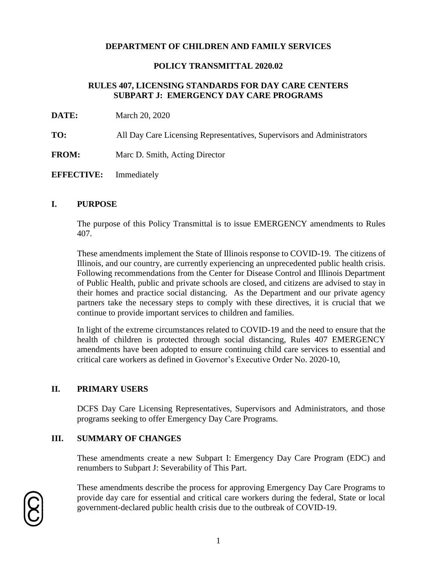#### **POLICY TRANSMITTAL 2020.02**

## **RULES 407, LICENSING STANDARDS FOR DAY CARE CENTERS SUBPART J: EMERGENCY DAY CARE PROGRAMS**

- **DATE:** March 20, 2020
- **TO:** All Day Care Licensing Representatives, Supervisors and Administrators
- **FROM:** Marc D. Smith, Acting Director
- **EFFECTIVE:** Immediately

#### **I. PURPOSE**

The purpose of this Policy Transmittal is to issue EMERGENCY amendments to Rules 407.

These amendments implement the State of Illinois response to COVID-19. The citizens of Illinois, and our country, are currently experiencing an unprecedented public health crisis. Following recommendations from the Center for Disease Control and Illinois Department of Public Health, public and private schools are closed, and citizens are advised to stay in their homes and practice social distancing. As the Department and our private agency partners take the necessary steps to comply with these directives, it is crucial that we continue to provide important services to children and families.

In light of the extreme circumstances related to COVID-19 and the need to ensure that the health of children is protected through social distancing, Rules 407 EMERGENCY amendments have been adopted to ensure continuing child care services to essential and critical care workers as defined in Governor's Executive Order No. 2020-10,

#### **II. PRIMARY USERS**

DCFS Day Care Licensing Representatives, Supervisors and Administrators, and those programs seeking to offer Emergency Day Care Programs.

#### **III. SUMMARY OF CHANGES**

These amendments create a new Subpart I: Emergency Day Care Program (EDC) and renumbers to Subpart J: Severability of This Part.

These amendments describe the process for approving Emergency Day Care Programs to provide day care for essential and critical care workers during the federal, State or local government-declared public health crisis due to the outbreak of COVID-19.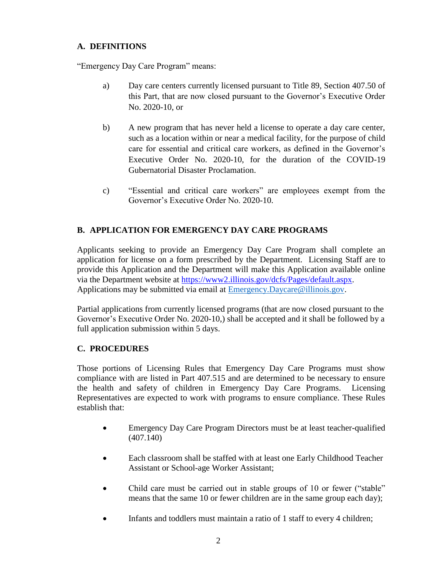# **A. DEFINITIONS**

"Emergency Day Care Program" means:

- a) Day care centers currently licensed pursuant to Title 89, Section 407.50 of this Part, that are now closed pursuant to the Governor's Executive Order No. 2020-10, or
- b) A new program that has never held a license to operate a day care center, such as a location within or near a medical facility, for the purpose of child care for essential and critical care workers, as defined in the Governor's Executive Order No. 2020-10, for the duration of the COVID-19 Gubernatorial Disaster Proclamation.
- c) "Essential and critical care workers" are employees exempt from the Governor's Executive Order No. 2020-10.

# **B. APPLICATION FOR EMERGENCY DAY CARE PROGRAMS**

Applicants seeking to provide an Emergency Day Care Program shall complete an application for license on a form prescribed by the Department. Licensing Staff are to provide this Application and the Department will make this Application available online via the Department website at [https://www2.illinois.gov/dcfs/Pages/default.aspx.](https://www2.illinois.gov/dcfs/Pages/default.aspx) Applications may be submitted via email at **Emergency.Daycare@illinois.gov.** 

Partial applications from currently licensed programs (that are now closed pursuant to the Governor's Executive Order No. 2020-10,) shall be accepted and it shall be followed by a full application submission within 5 days.

# **C. PROCEDURES**

Those portions of Licensing Rules that Emergency Day Care Programs must show compliance with are listed in Part 407.515 and are determined to be necessary to ensure the health and safety of children in Emergency Day Care Programs. Licensing Representatives are expected to work with programs to ensure compliance. These Rules establish that:

- Emergency Day Care Program Directors must be at least teacher-qualified (407.140)
- Each classroom shall be staffed with at least one Early Childhood Teacher Assistant or School-age Worker Assistant;
- Child care must be carried out in stable groups of 10 or fewer ("stable" means that the same 10 or fewer children are in the same group each day);
- Infants and toddlers must maintain a ratio of 1 staff to every 4 children;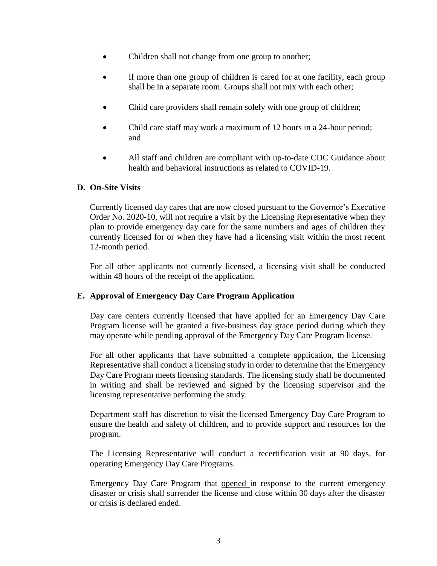- Children shall not change from one group to another;
- If more than one group of children is cared for at one facility, each group shall be in a separate room. Groups shall not mix with each other;
- Child care providers shall remain solely with one group of children;
- Child care staff may work a maximum of 12 hours in a 24-hour period; and
- All staff and children are compliant with up-to-date CDC Guidance about health and behavioral instructions as related to COVID-19.

## **D. On-Site Visits**

Currently licensed day cares that are now closed pursuant to the Governor's Executive Order No. 2020-10, will not require a visit by the Licensing Representative when they plan to provide emergency day care for the same numbers and ages of children they currently licensed for or when they have had a licensing visit within the most recent 12-month period.

For all other applicants not currently licensed, a licensing visit shall be conducted within 48 hours of the receipt of the application.

## **E. Approval of Emergency Day Care Program Application**

Day care centers currently licensed that have applied for an Emergency Day Care Program license will be granted a five-business day grace period during which they may operate while pending approval of the Emergency Day Care Program license.

For all other applicants that have submitted a complete application, the Licensing Representative shall conduct a licensing study in order to determine that the Emergency Day Care Program meets licensing standards. The licensing study shall be documented in writing and shall be reviewed and signed by the licensing supervisor and the licensing representative performing the study.

Department staff has discretion to visit the licensed Emergency Day Care Program to ensure the health and safety of children, and to provide support and resources for the program.

The Licensing Representative will conduct a recertification visit at 90 days, for operating Emergency Day Care Programs.

Emergency Day Care Program that opened in response to the current emergency disaster or crisis shall surrender the license and close within 30 days after the disaster or crisis is declared ended.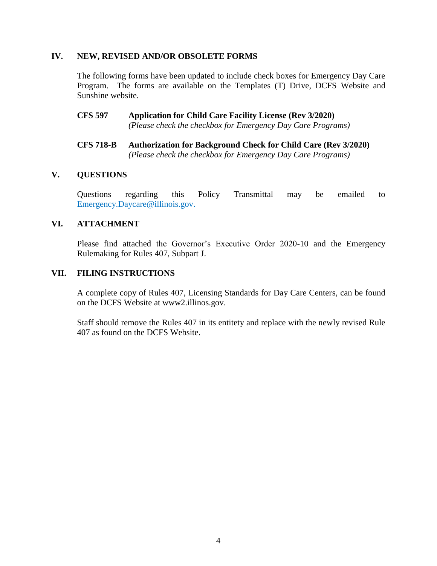#### **IV. NEW, REVISED AND/OR OBSOLETE FORMS**

The following forms have been updated to include check boxes for Emergency Day Care Program. The forms are available on the Templates (T) Drive, DCFS Website and Sunshine website.

- **CFS 597 Application for Child Care Facility License (Rev 3/2020)** *(Please check the checkbox for Emergency Day Care Programs)*
- **CFS 718-B Authorization for Background Check for Child Care (Rev 3/2020)** *(Please check the checkbox for Emergency Day Care Programs)*

#### **V. QUESTIONS**

Questions regarding this Policy Transmittal may be emailed to [Emergency.Daycare@illinois.gov.](about:blank)

#### **VI. ATTACHMENT**

Please find attached the Governor's Executive Order 2020-10 and the Emergency Rulemaking for Rules 407, Subpart J.

#### **VII. FILING INSTRUCTIONS**

A complete copy of Rules 407, Licensing Standards for Day Care Centers, can be found on the DCFS Website at www2.illinos.gov.

Staff should remove the Rules 407 in its entitety and replace with the newly revised Rule 407 as found on the DCFS Website.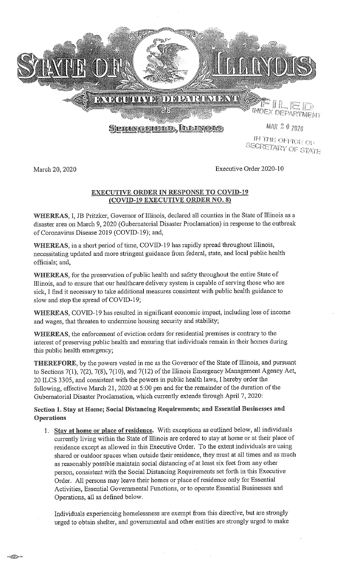

IN THE OFFICE OF **SECRETARY OF STATE** 

March 20, 2020

.<br>செய்ய

Executive Order 2020-10

#### **EXECUTIVE ORDER IN RESPONSE TO COVID-19** (COVID-19 EXECUTIVE ORDER NO. 8)

WHEREAS, I, JB Pritzker, Governor of Illinois, declared all counties in the State of Illinois as a disaster area on March 9, 2020 (Gubernatorial Disaster Proclamation) in response to the outbreak of Coronavirus Disease 2019 (COVID-19); and,

WHEREAS, in a short period of time, COVID-19 has rapidly spread throughout Illinois, necessitating updated and more stringent guidance from federal, state, and local public health officials; and,

WHEREAS, for the preservation of public health and safety throughout the entire State of Illinois, and to ensure that our healthcare delivery system is capable of serving those who are sick, I find it necessary to take additional measures consistent with public health guidance to slow and stop the spread of COVID-19;

WHEREAS, COVID-19 has resulted in significant economic impact, including loss of income and wages, that threaten to undermine housing security and stability;

WHEREAS, the enforcement of eviction orders for residential premises is contrary to the interest of preserving public health and ensuring that individuals remain in their homes during this public health emergency;

THEREFORE, by the powers vested in me as the Governor of the State of Illinois, and pursuant to Sections 7(1), 7(2), 7(8), 7(10), and 7(12) of the Illinois Emergency Management Agency Act, 20 ILCS 3305, and consistent with the powers in public health laws, I hereby order the following, effective March 21, 2020 at 5:00 pm and for the remainder of the duration of the Gubernatorial Disaster Proclamation, which currently extends through April 7, 2020:

# Section 1. Stay at Home; Social Distancing Requirements; and Essential Businesses and Operations

1. Stay at home or place of residence. With exceptions as outlined below, all individuals currently living within the State of Illinois are ordered to stay at home or at their place of residence except as allowed in this Executive Order. To the extent individuals are using shared or outdoor spaces when outside their residence, they must at all times and as much as reasonably possible maintain social distancing of at least six feet from any other person, consistent with the Social Distancing Requirements set forth in this Executive Order. All persons may leave their homes or place of residence only for Essential Activities, Essential Governmental Functions, or to operate Essential Businesses and Operations, all as defined below.

Individuals experiencing homelessness are exempt from this directive, but are strongly urged to obtain shelter, and governmental and other entities are strongly urged to make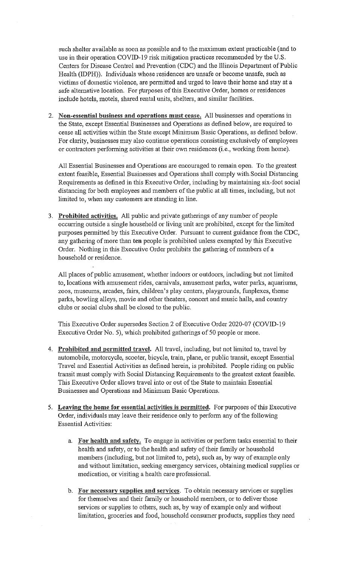such shelter available as soon as possible and to the maximum extent practicable (and to use in their operation COVID-19 risk mitigation practices recommended by the U.S. Centers for Disease Control and Prevention (CDC) and the Illinois Department of Public Health (IDPH)). Individuals whose residences are unsafe or become unsafe, such as victims of domestic violence, are permitted and urged to leave their home and stay at a safe alternative location. For purposes of this Executive Order, homes or residences include hotels, motels, shared rental units, shelters, and similar facilities.

2. Non-essential business and operations must cease. All businesses and operations in the State, except Essential Businesses and Operations as defined below, are required to cease all activities within the State except Minimum Basic Operations, as defined below. For clarity, businesses may also continue operations consisting exclusively of employees or contractors performing activities at their own residences (*i.e.*, working from home).

All Essential Businesses and Operations are encouraged to remain open. To the greatest extent feasible, Essential Businesses and Operations shall comply with Social Distancing Requirements as defined in this Executive Order, including by maintaining six-foot social distancing for both employees and members of the public at all times, including, but not limited to, when any customers are standing in line.

3. Prohibited activities. All public and private gatherings of any number of people occurring outside a single household or living unit are prohibited, except for the limited purposes permitted by this Executive Order. Pursuant to current guidance from the CDC, any gathering of more than ten people is prohibited unless exempted by this Executive Order. Nothing in this Executive Order prohibits the gathering of members of a household or residence.

All places of public amusement, whether indoors or outdoors, including but not limited to, locations with amusement rides, carnivals, amusement parks, water parks, aquariums, zoos, museums, arcades, fairs, children's play centers, playgrounds, funplexes, theme parks, bowling alleys, movie and other theaters, concert and music halls, and country clubs or social clubs shall be closed to the public.

This Executive Order supersedes Section 2 of Executive Order 2020-07 (COVID-19 Executive Order No. 5), which prohibited gatherings of 50 people or more.

- 4. Prohibited and permitted travel. All travel, including, but not limited to, travel by automobile, motorcycle, scooter, bicycle, train, plane, or public transit, except Essential Travel and Essential Activities as defined herein, is prohibited. People riding on public transit must comply with Social Distancing Requirements to the greatest extent feasible. This Executive Order allows travel into or out of the State to maintain Essential Businesses and Operations and Minimum Basic Operations.
- 5. Leaving the home for essential activities is permitted. For purposes of this Executive Order, individuals may leave their residence only to perform any of the following **Essential Activities:** 
	- a. For health and safety. To engage in activities or perform tasks essential to their health and safety, or to the health and safety of their family or household members (including, but not limited to, pets), such as, by way of example only and without limitation, seeking emergency services, obtaining medical supplies or medication, or visiting a health care professional.
	- b. For necessary supplies and services. To obtain necessary services or supplies for themselves and their family or household members, or to deliver those services or supplies to others, such as, by way of example only and without limitation, groceries and food, household consumer products, supplies they need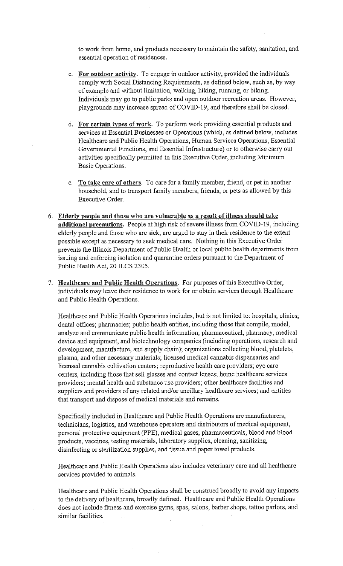to work from home, and products necessary to maintain the safety, sanitation, and essential operation of residences.

- c. For outdoor activity. To engage in outdoor activity, provided the individuals comply with Social Distancing Requirements, as defined below, such as, by way of example and without limitation, walking, hiking, running, or biking. Individuals may go to public parks and open outdoor recreation areas. However, playgrounds may increase spread of COVID-19, and therefore shall be closed.
- d. For certain types of work. To perform work providing essential products and services at Essential Businesses or Operations (which, as defined below, includes Healthcare and Public Health Operations, Human Services Operations, Essential Governmental Functions, and Essential Infrastructure) or to otherwise carry out activities specifically permitted in this Executive Order, including Minimum Basic Operations.
- e. To take care of others. To care for a family member, friend, or pet in another household, and to transport family members, friends, or pets as allowed by this Executive Order.
- 6. Elderly people and those who are vulnerable as a result of illness should take additional precautions. People at high risk of severe illness from COVID-19, including elderly people and those who are sick, are urged to stay in their residence to the extent possible except as necessary to seek medical care. Nothing in this Executive Order prevents the Illinois Department of Public Health or local public health departments from issuing and enforcing isolation and quarantine orders pursuant to the Department of Public Health Act, 20 ILCS 2305.
- 7. Healthcare and Public Health Operations. For purposes of this Executive Order, individuals may leave their residence to work for or obtain services through Healthcare and Public Health Operations.

Healthcare and Public Health Operations includes, but is not limited to: hospitals; clinics; dental offices; pharmacies; public health entities, including those that compile, model, analyze and communicate public health information; pharmaceutical, pharmacy, medical device and equipment, and biotechnology companies (including operations, research and development, manufacture, and supply chain); organizations collecting blood, platelets, plasma, and other necessary materials; licensed medical cannabis dispensaries and licensed cannabis cultivation centers; reproductive health care providers; eye care centers, including those that sell glasses and contact lenses; home healthcare services providers; mental health and substance use providers; other healthcare facilities and suppliers and providers of any related and/or ancillary healthcare services; and entities that transport and dispose of medical materials and remains.

Specifically included in Healthcare and Public Health Operations are manufacturers, technicians, logistics, and warehouse operators and distributors of medical equipment, personal protective equipment (PPE), medical gases, pharmaceuticals, blood and blood products, vaccines, testing materials, laboratory supplies, cleaning, sanitizing, disinfecting or sterilization supplies, and tissue and paper towel products.

Healthcare and Public Health Operations also includes veterinary care and all healthcare services provided to animals.

Healthcare and Public Health Operations shall be construed broadly to avoid any impacts to the delivery of healthcare, broadly defined. Healthcare and Public Health Operations does not include fitness and exercise gyms, spas, salons, barber shops, tattoo parlors, and similar facilities.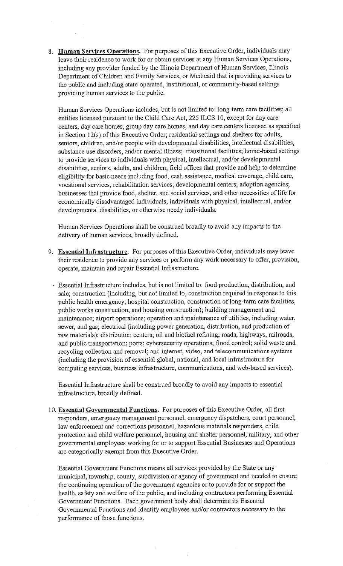8. Human Services Operations. For purposes of this Executive Order, individuals may leave their residence to work for or obtain services at any Human Services Operations, including any provider funded by the Illinois Department of Human Services, Illinois Department of Children and Family Services, or Medicaid that is providing services to the public and including state-operated, institutional, or community-based settings providing human services to the public.

Human Services Operations includes, but is not limited to: long-term care facilities; all entities licensed pursuant to the Child Care Act, 225 ILCS 10, except for day care centers, day care homes, group day care homes, and day care centers licensed as specified in Section 12(s) of this Executive Order; residential settings and shelters for adults, seniors, children, and/or people with developmental disabilities, intellectual disabilities, substance use disorders, and/or mental illness; transitional facilities; home-based settings to provide services to individuals with physical, intellectual, and/or developmental disabilities, seniors, adults, and children; field offices that provide and help to determine eligibility for basic needs including food, cash assistance, medical coverage, child care, vocational services, rehabilitation services; developmental centers; adoption agencies; businesses that provide food, shelter, and social services, and other necessities of life for economically disadvantaged individuals, individuals with physical, intellectual, and/or developmental disabilities, or otherwise needy individuals.

Human Services Operations shall be construed broadly to avoid any impacts to the delivery of human services, broadly defined.

- 9. Essential Infrastructure. For purposes of this Executive Order, individuals may leave their residence to provide any services or perform any work necessary to offer, provision, operate, maintain and repair Essential Infrastructure.
	- Essential Infrastructure includes, but is not limited to: food production, distribution, and sale; construction (including, but not limited to, construction required in response to this public health emergency, hospital construction, construction of long-term care facilities, public works construction, and housing construction); building management and maintenance; airport operations; operation and maintenance of utilities, including water, sewer, and gas; electrical (including power generation, distribution, and production of raw materials); distribution centers; oil and biofuel refining; roads, highways, railroads, and public transportation; ports; cybersecurity operations; flood control; solid waste and recycling collection and removal; and internet, video, and telecommunications systems (including the provision of essential global, national, and local infrastructure for computing services, business infrastructure, communications, and web-based services).

Essential Infrastructure shall be construed broadly to avoid any impacts to essential infrastructure, broadly defined.

10. Essential Governmental Functions. For purposes of this Executive Order, all first responders, emergency management personnel, emergency dispatchers, court personnel, law enforcement and corrections personnel, hazardous materials responders, child protection and child welfare personnel, housing and shelter personnel, military, and other governmental employees working for or to support Essential Businesses and Operations are categorically exempt from this Executive Order.

Essential Government Functions means all services provided by the State or any municipal, township, county, subdivision or agency of government and needed to ensure the continuing operation of the government agencies or to provide for or support the health, safety and welfare of the public, and including contractors performing Essential Government Functions. Each government body shall determine its Essential Governmental Functions and identify employees and/or contractors necessary to the performance of those functions.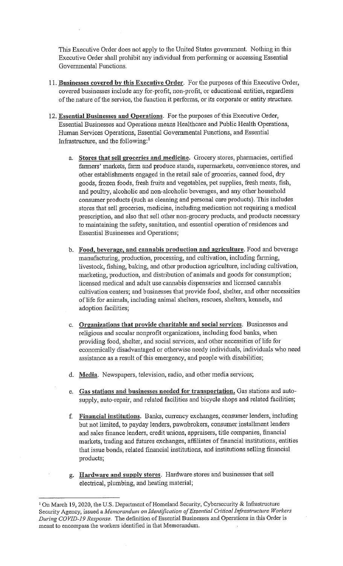This Executive Order does not apply to the United States government. Nothing in this Executive Order shall prohibit any individual from performing or accessing Essential Governmental Functions.

- 11. Businesses covered by this Executive Order. For the purposes of this Executive Order, covered businesses include any for-profit, non-profit, or educational entities, regardless of the nature of the service, the function it performs, or its corporate or entity structure.
- 12. Essential Businesses and Operations. For the purposes of this Executive Order, Essential Businesses and Operations means Healthcare and Public Health Operations, Human Services Operations, Essential Governmental Functions, and Essential Infrastructure, and the following: $<sup>1</sup>$ </sup>
	- a. Stores that sell groceries and medicine. Grocery stores, pharmacies, certified farmers' markets, farm and produce stands, supermarkets, convenience stores, and other establishments engaged in the retail sale of groceries, canned food, dry goods, frozen foods, fresh fruits and vegetables, pet supplies, fresh meats, fish, and poultry, alcoholic and non-alcoholic beverages, and any other household consumer products (such as cleaning and personal care products). This includes stores that sell groceries, medicine, including medication not requiring a medical prescription, and also that sell other non-grocery products, and products necessary to maintaining the safety, sanitation, and essential operation of residences and Essential Businesses and Operations;
	- b. Food, beverage, and cannabis production and agriculture. Food and beverage manufacturing, production, processing, and cultivation, including farming, livestock, fishing, baking, and other production agriculture, including cultivation, marketing, production, and distribution of animals and goods for consumption; licensed medical and adult use cannabis dispensaries and licensed cannabis cultivation centers; and businesses that provide food, shelter, and other necessities of life for animals, including animal shelters, rescues, shelters, kennels, and adoption facilities;
	- c. Organizations that provide charitable and social services. Businesses and religious and secular nonprofit organizations, including food banks, when providing food, shelter, and social services, and other necessities of life for economically disadvantaged or otherwise needy individuals, individuals who need assistance as a result of this emergency, and people with disabilities;
	- d. Media. Newspapers, television, radio, and other media services;
	- e. Gas stations and businesses needed for transportation. Gas stations and autosupply, auto-repair, and related facilities and bicycle shops and related facilities;
	- f. Financial institutions. Banks, currency exchanges, consumer lenders, including but not limited, to payday lenders, pawnbrokers, consumer installment lenders and sales finance lenders, credit unions, appraisers, title companies, financial markets, trading and futures exchanges, affiliates of financial institutions, entities that issue bonds, related financial institutions, and institutions selling financial products;
	- g. Hardware and supply stores. Hardware stores and businesses that sell electrical, plumbing, and heating material;

<sup>&</sup>lt;sup>1</sup> On March 19, 2020, the U.S. Department of Homeland Security, Cybersecurity & Infrastructure Security Agency, issued a Memorandum on Identification of Essential Critical Infrastructure Workers During COVID-19 Response. The definition of Essential Businesses and Operations in this Order is meant to encompass the workers identified in that Memorandum.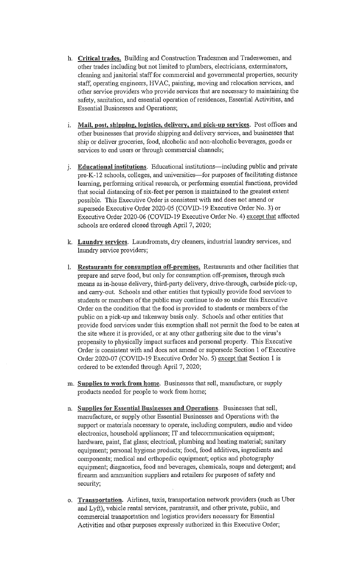- h. Critical trades. Building and Construction Tradesmen and Tradeswomen, and other trades including but not limited to plumbers, electricians, exterminators, cleaning and janitorial staff for commercial and governmental properties, security staff, operating engineers, HVAC, painting, moving and relocation services, and other service providers who provide services that are necessary to maintaining the safety, sanitation, and essential operation of residences, Essential Activities, and Essential Businesses and Operations;
- i. Mail, post, shipping, logistics, delivery, and pick-up services. Post offices and other businesses that provide shipping and delivery services, and businesses that ship or deliver groceries, food, alcoholic and non-alcoholic beverages, goods or services to end users or through commercial channels;
- j. Educational institutions. Educational institutions—including public and private pre-K-12 schools, colleges, and universities-for purposes of facilitating distance learning, performing critical research, or performing essential functions, provided that social distancing of six-feet per person is maintained to the greatest extent possible. This Executive Order is consistent with and does not amend or supersede Executive Order 2020-05 (COVID-19 Executive Order No. 3) or Executive Order 2020-06 (COVID-19 Executive Order No. 4) except that affected schools are ordered closed through April 7, 2020;
- k. Laundry services. Laundromats, dry cleaners, industrial laundry services, and laundry service providers;
- 1. Restaurants for consumption off-premises. Restaurants and other facilities that prepare and serve food, but only for consumption off-premises, through such means as in-house delivery, third-party delivery, drive-through, curbside pick-up, and carry-out. Schools and other entities that typically provide food services to students or members of the public may continue to do so under this Executive Order on the condition that the food is provided to students or members of the public on a pick-up and takeaway basis only. Schools and other entities that provide food services under this exemption shall not permit the food to be eaten at the site where it is provided, or at any other gathering site due to the virus's propensity to physically impact surfaces and personal property. This Executive Order is consistent with and does not amend or supersede Section 1 of Executive Order 2020-07 (COVID-19 Executive Order No. 5) except that Section 1 is ordered to be extended through April 7, 2020;
- m. Supplies to work from home. Businesses that sell, manufacture, or supply products needed for people to work from home;
- n. Supplies for Essential Businesses and Operations. Businesses that sell, manufacture, or supply other Essential Businesses and Operations with the support or materials necessary to operate, including computers, audio and video electronics, household appliances; IT and telecommunication equipment; hardware, paint, flat glass; electrical, plumbing and heating material; sanitary equipment; personal hygiene products; food, food additives, ingredients and components; medical and orthopedic equipment; optics and photography equipment; diagnostics, food and beverages, chemicals, soaps and detergent; and firearm and ammunition suppliers and retailers for purposes of safety and security;
- o. Transportation. Airlines, taxis, transportation network providers (such as Uber and Lyft), vehicle rental services, paratransit, and other private, public, and commercial transportation and logistics providers necessary for Essential Activities and other purposes expressly authorized in this Executive Order;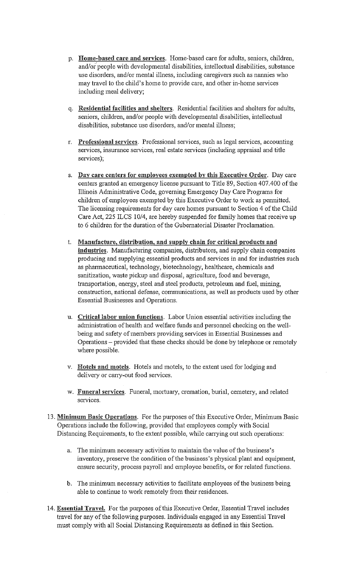- p. Home-based care and services. Home-based care for adults, seniors, children, and/or people with developmental disabilities, intellectual disabilities, substance use disorders, and/or mental illness, including caregivers such as nannies who may travel to the child's home to provide care, and other in-home services including meal delivery;
- q. Residential facilities and shelters. Residential facilities and shelters for adults, seniors, children, and/or people with developmental disabilities, intellectual disabilities, substance use disorders, and/or mental illness;
- r. Professional services. Professional services, such as legal services, accounting services, insurance services, real estate services (including appraisal and title services);
- s. Day care centers for employees exempted by this Executive Order. Day care centers granted an emergency license pursuant to Title 89, Section 407.400 of the Illinois Administrative Code, governing Emergency Day Care Programs for children of employees exempted by this Executive Order to work as permitted. The licensing requirements for day care homes pursuant to Section 4 of the Child Care Act, 225 ILCS 10/4, are hereby suspended for family homes that receive up to 6 children for the duration of the Gubernatorial Disaster Proclamation.
- t. Manufacture, distribution, and supply chain for critical products and industries. Manufacturing companies, distributors, and supply chain companies producing and supplying essential products and services in and for industries such as pharmaceutical, technology, biotechnology, healthcare, chemicals and sanitization, waste pickup and disposal, agriculture, food and beverage, transportation, energy, steel and steel products, petroleum and fuel, mining, construction, national defense, communications, as well as products used by other Essential Businesses and Operations.
- u. Critical labor union functions. Labor Union essential activities including the administration of health and welfare funds and personnel checking on the wellbeing and safety of members providing services in Essential Businesses and Operations – provided that these checks should be done by telephone or remotely where possible.
- v. Hotels and motels. Hotels and motels, to the extent used for lodging and delivery or carry-out food services.
- w. Funeral services. Funeral, mortuary, cremation, burial, cemetery, and related services.
- 13. Minimum Basic Operations. For the purposes of this Executive Order, Minimum Basic Operations include the following, provided that employees comply with Social Distancing Requirements, to the extent possible, while carrying out such operations:
	- a. The minimum necessary activities to maintain the value of the business's inventory, preserve the condition of the business's physical plant and equipment, ensure security, process payroll and employee benefits, or for related functions.
	- b. The minimum necessary activities to facilitate employees of the business being able to continue to work remotely from their residences.
- 14. Essential Travel. For the purposes of this Executive Order, Essential Travel includes travel for any of the following purposes. Individuals engaged in any Essential Travel must comply with all Social Distancing Requirements as defined in this Section.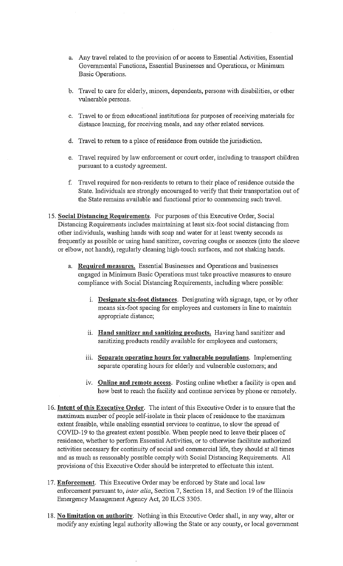- a. Any travel related to the provision of or access to Essential Activities, Essential Governmental Functions, Essential Businesses and Operations, or Minimum Basic Operations.
- b. Travel to care for elderly, minors, dependents, persons with disabilities, or other vulnerable persons.
- c. Travel to or from educational institutions for purposes of receiving materials for distance learning, for receiving meals, and any other related services.
- d. Travel to return to a place of residence from outside the jurisdiction.
- e. Travel required by law enforcement or court order, including to transport children pursuant to a custody agreement.
- f. Travel required for non-residents to return to their place of residence outside the State. Individuals are strongly encouraged to verify that their transportation out of the State remains available and functional prior to commencing such travel.
- 15. Social Distancing Requirements. For purposes of this Executive Order, Social Distancing Requirements includes maintaining at least six-foot social distancing from other individuals, washing hands with soap and water for at least twenty seconds as frequently as possible or using hand sanitizer, covering coughs or sneezes (into the sleeve or elbow, not hands), regularly cleaning high-touch surfaces, and not shaking hands.
	- a. Required measures. Essential Businesses and Operations and businesses engaged in Minimum Basic Operations must take proactive measures to ensure compliance with Social Distancing Requirements, including where possible:
		- i. Designate six-foot distances. Designating with signage, tape, or by other means six-foot spacing for employees and customers in line to maintain appropriate distance;
		- ii. Hand sanitizer and sanitizing products. Having hand sanitizer and sanitizing products readily available for employees and customers;
		- iii. Separate operating hours for vulnerable populations. Implementing separate operating hours for elderly and vulnerable customers; and
		- iv. Online and remote access. Posting online whether a facility is open and how best to reach the facility and continue services by phone or remotely.
- 16. Intent of this Executive Order. The intent of this Executive Order is to ensure that the maximum number of people self-isolate in their places of residence to the maximum extent feasible, while enabling essential services to continue, to slow the spread of COVID-19 to the greatest extent possible. When people need to leave their places of residence, whether to perform Essential Activities, or to otherwise facilitate authorized activities necessary for continuity of social and commercial life, they should at all times and as much as reasonably possible comply with Social Distancing Requirements. All provisions of this Executive Order should be interpreted to effectuate this intent.
- 17. Enforcement. This Executive Order may be enforced by State and local law enforcement pursuant to, *inter alia*, Section 7, Section 18, and Section 19 of the Illinois Emergency Management Agency Act, 20 ILCS 3305.
- 18. No limitation on authority. Nothing in this Executive Order shall, in any way, alter or modify any existing legal authority allowing the State or any county, or local government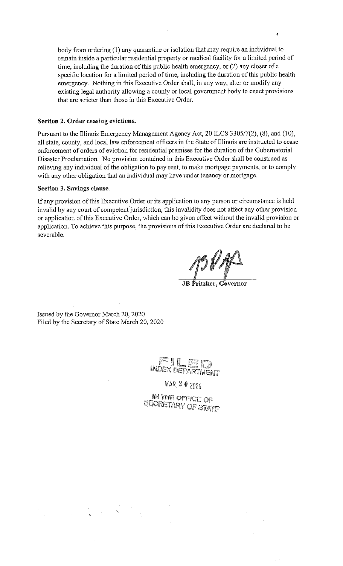body from ordering (1) any quarantine or isolation that may require an individual to remain inside a particular residential property or medical facility for a limited period of time, including the duration of this public health emergency, or (2) any closer of a specific location for a limited period of time, including the duration of this public health emergency. Nothing in this Executive Order shall, in any way, alter or modify any existing legal authority allowing a county or local government body to enact provisions that are stricter than those in this Executive Order.

#### Section 2. Order ceasing evictions.

Pursuant to the Illinois Emergency Management Agency Act, 20 ILCS 3305/7(2), (8), and (10), all state, county, and local law enforcement officers in the State of Illinois are instructed to cease enforcement of orders of eviction for residential premises for the duration of the Gubernatorial Disaster Proclamation. No provision contained in this Executive Order shall be construed as relieving any individual of the obligation to pay rent, to make mortgage payments, or to comply with any other obligation that an individual may have under tenancy or mortgage.

#### Section 3. Savings clause.

If any provision of this Executive Order or its application to any person or circumstance is held invalid by any court of competent jurisdiction, this invalidity does not affect any other provision or application of this Executive Order, which can be given effect without the invalid provision or application. To achieve this purpose, the provisions of this Executive Order are declared to be severable.

JB Pritzker, Governor

Issued by the Governor March 20, 2020 Filed by the Secretary of State March 20, 2020

INDEX DEFARTMENT

MAR. 2 0 2020

IN THE OFFICE OF **BEORETARY OF STATE**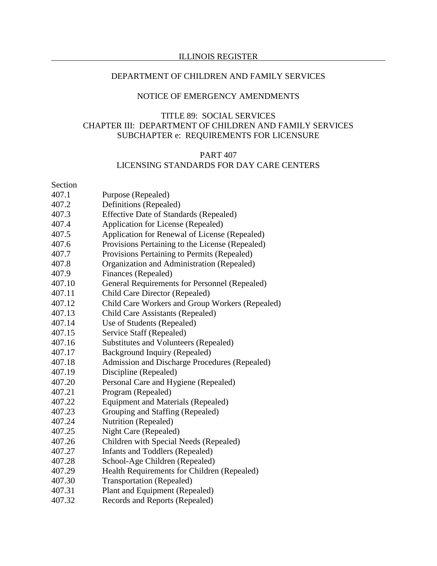#### DEPARTMENT OF CHILDREN AND FAMILY SERVICES

#### NOTICE OF EMERGENCY AMENDMENTS

#### TITLE 89: SOCIAL SERVICES CHAPTER III: DEPARTMENT OF CHILDREN AND FAMILY SERVICES SUBCHAPTER e: REQUIREMENTS FOR LICENSURE

#### PART 407 LICENSING STANDARDS FOR DAY CARE CENTERS

Section

- 407.1 Purpose (Repealed)
- 407.2 Definitions (Repealed)
- 407.3 Effective Date of Standards (Repealed)
- 407.4 Application for License (Repealed)
- 407.5 Application for Renewal of License (Repealed)
- 407.6 Provisions Pertaining to the License (Repealed)
- 407.7 Provisions Pertaining to Permits (Repealed)
- 407.8 Organization and Administration (Repealed)
- 407.9 Finances (Repealed)
- 407.10 General Requirements for Personnel (Repealed)
- 407.11 Child Care Director (Repealed)
- 407.12 Child Care Workers and Group Workers (Repealed)
- 407.13 Child Care Assistants (Repealed)
- 407.14 Use of Students (Repealed)
- 407.15 Service Staff (Repealed)
- 407.16 Substitutes and Volunteers (Repealed)
- 407.17 Background Inquiry (Repealed)
- 407.18 Admission and Discharge Procedures (Repealed)
- 407.19 Discipline (Repealed)
- 407.20 Personal Care and Hygiene (Repealed)
- 407.21 Program (Repealed)
- 407.22 Equipment and Materials (Repealed)
- 407.23 Grouping and Staffing (Repealed)
- 407.24 Nutrition (Repealed)
- 407.25 Night Care (Repealed)
- 407.26 Children with Special Needs (Repealed)
- 407.27 Infants and Toddlers (Repealed)
- 407.28 School-Age Children (Repealed)
- 407.29 Health Requirements for Children (Repealed)
- 407.30 Transportation (Repealed)
- 407.31 Plant and Equipment (Repealed)
- 407.32 Records and Reports (Repealed)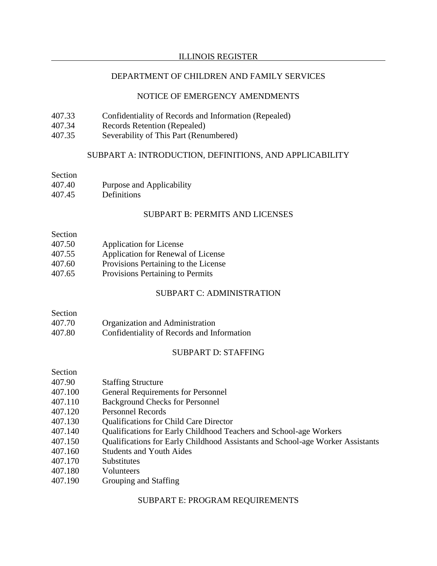## DEPARTMENT OF CHILDREN AND FAMILY SERVICES

#### NOTICE OF EMERGENCY AMENDMENTS

- 407.33 Confidentiality of Records and Information (Repealed)
- 407.34 Records Retention (Repealed)
- 407.35 Severability of This Part (Renumbered)

#### SUBPART A: INTRODUCTION, DEFINITIONS, AND APPLICABILITY

#### Section

- 407.40 Purpose and Applicability
- 407.45 Definitions

## SUBPART B: PERMITS AND LICENSES

#### Section

- 407.50 Application for License
- 407.55 Application for Renewal of License
- 407.60 Provisions Pertaining to the License
- 407.65 Provisions Pertaining to Permits

## SUBPART C: ADMINISTRATION

# Section

- 407.70 Organization and Administration
- 407.80 Confidentiality of Records and Information

## SUBPART D: STAFFING

#### Section

- 407.90 Staffing Structure
- 407.100 General Requirements for Personnel
- 407.110 Background Checks for Personnel
- 407.120 Personnel Records
- 407.130 Qualifications for Child Care Director
- 407.140 Qualifications for Early Childhood Teachers and School-age Workers
- 407.150 Qualifications for Early Childhood Assistants and School-age Worker Assistants
- 407.160 Students and Youth Aides
- 407.170 Substitutes
- 407.180 Volunteers
- 407.190 Grouping and Staffing

#### SUBPART E: PROGRAM REQUIREMENTS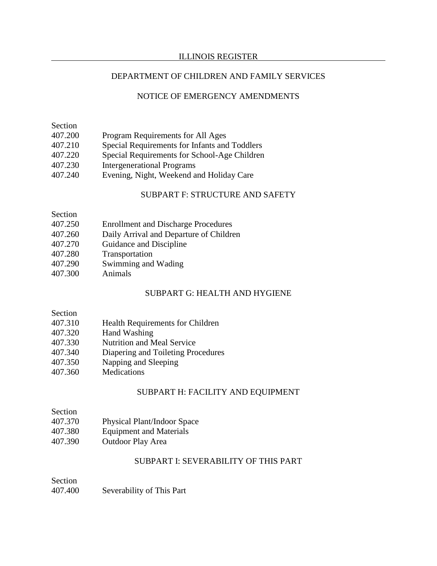#### DEPARTMENT OF CHILDREN AND FAMILY SERVICES

#### NOTICE OF EMERGENCY AMENDMENTS

| Section |                                               |
|---------|-----------------------------------------------|
| 407.200 | Program Requirements for All Ages             |
| 407.210 | Special Requirements for Infants and Toddlers |
| 407.220 | Special Requirements for School-Age Children  |
| 407.230 | <b>Intergenerational Programs</b>             |
| 407.240 | Evening, Night, Weekend and Holiday Care      |
|         |                                               |

#### SUBPART F: STRUCTURE AND SAFETY

| 407.250 | <b>Enrollment and Discharge Procedures</b> |
|---------|--------------------------------------------|
|---------|--------------------------------------------|

- 407.260 Daily Arrival and Departure of Children
- 407.270 Guidance and Discipline
- 407.280 Transportation
- 407.290 Swimming and Wading
- 407.300 Animals

#### SUBPART G: HEALTH AND HYGIENE

#### Section

- 407.310 Health Requirements for Children
- 407.320 Hand Washing
- 407.330 Nutrition and Meal Service
- 407.340 Diapering and Toileting Procedures
- 407.350 Napping and Sleeping
- 407.360 Medications

#### SUBPART H: FACILITY AND EQUIPMENT

- 407.370 Physical Plant/Indoor Space
- 407.380 Equipment and Materials
- 407.390 Outdoor Play Area

#### SUBPART I: SEVERABILITY OF THIS PART

Section

407.400 Severability of This Part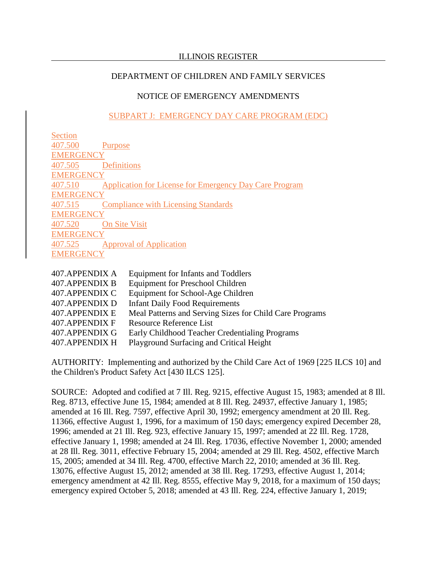# NOTICE OF EMERGENCY AMENDMENTS

# SUBPART J: EMERGENCY DAY CARE PROGRAM (EDC)

| Section          |                                                        |
|------------------|--------------------------------------------------------|
| 407.500          | Purpose                                                |
| <b>EMERGENCY</b> |                                                        |
| 407.505          | <b>Definitions</b>                                     |
| <b>EMERGENCY</b> |                                                        |
| 407.510          | Application for License for Emergency Day Care Program |
| <b>EMERGENCY</b> |                                                        |
| 407.515          | <b>Compliance with Licensing Standards</b>             |
| <b>EMERGENCY</b> |                                                        |
| 407.520          | <b>On Site Visit</b>                                   |
| <b>EMERGENCY</b> |                                                        |
| 407.525          | <b>Approval of Application</b>                         |
| <b>EMERGENC</b>  |                                                        |
|                  |                                                        |

| 407.APPENDIX A | <b>Equipment for Infants and Toddlers</b>               |
|----------------|---------------------------------------------------------|
| 407.APPENDIX B | <b>Equipment for Preschool Children</b>                 |
| 407.APPENDIX C | Equipment for School-Age Children                       |
| 407.APPENDIX D | <b>Infant Daily Food Requirements</b>                   |
| 407.APPENDIX E | Meal Patterns and Serving Sizes for Child Care Programs |
| 407.APPENDIX F | <b>Resource Reference List</b>                          |
| 407.APPENDIX G | Early Childhood Teacher Credentialing Programs          |
| 407.APPENDIX H | Playground Surfacing and Critical Height                |
|                |                                                         |

AUTHORITY: Implementing and authorized by the Child Care Act of 1969 [225 ILCS 10] and the Children's Product Safety Act [430 ILCS 125].

SOURCE: Adopted and codified at 7 Ill. Reg. 9215, effective August 15, 1983; amended at 8 Ill. Reg. 8713, effective June 15, 1984; amended at 8 Ill. Reg. 24937, effective January 1, 1985; amended at 16 Ill. Reg. 7597, effective April 30, 1992; emergency amendment at 20 Ill. Reg. 11366, effective August 1, 1996, for a maximum of 150 days; emergency expired December 28, 1996; amended at 21 Ill. Reg. 923, effective January 15, 1997; amended at 22 Ill. Reg. 1728, effective January 1, 1998; amended at 24 Ill. Reg. 17036, effective November 1, 2000; amended at 28 Ill. Reg. 3011, effective February 15, 2004; amended at 29 Ill. Reg. 4502, effective March 15, 2005; amended at 34 Ill. Reg. 4700, effective March 22, 2010; amended at 36 Ill. Reg. 13076, effective August 15, 2012; amended at 38 Ill. Reg. 17293, effective August 1, 2014; emergency amendment at 42 Ill. Reg. 8555, effective May 9, 2018, for a maximum of 150 days; emergency expired October 5, 2018; amended at 43 Ill. Reg. 224, effective January 1, 2019;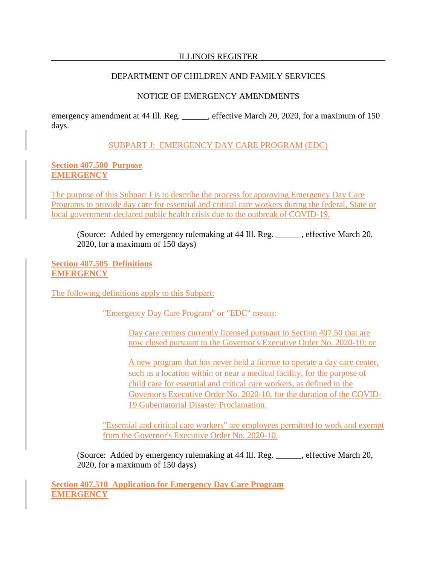## DEPARTMENT OF CHILDREN AND FAMILY SERVICES

## NOTICE OF EMERGENCY AMENDMENTS

emergency amendment at 44 Ill. Reg. \_\_\_\_\_\_, effective March 20, 2020, for a maximum of 150 days.

#### SUBPART J: EMERGENCY DAY CARE PROGRAM (EDC)

#### **Section 407.500 Purpose EMERGENCY**

The purpose of this Subpart J is to describe the process for approving Emergency Day Care Programs to provide day care for essential and critical care workers during the federal, State or local government-declared public health crisis due to the outbreak of COVID-19.

(Source: Added by emergency rulemaking at 44 Ill. Reg. \_\_\_\_\_\_, effective March 20, 2020, for a maximum of 150 days)

**Section 407.505 Definitions EMERGENCY**

The following definitions apply to this Subpart:

"Emergency Day Care Program" or "EDC" means:

Day care centers currently licensed pursuant to Section 407.50 that are now closed pursuant to the Governor's Executive Order No. 2020-10; or

A new program that has never held a license to operate a day care center, such as a location within or near a medical facility, for the purpose of child care for essential and critical care workers, as defined in the Governor's Executive Order No. 2020-10, for the duration of the COVID-19 Gubernatorial Disaster Proclamation.

"Essential and critical care workers" are employees permitted to work and exempt from the Governor's Executive Order No. 2020-10.

(Source: Added by emergency rulemaking at 44 Ill. Reg. \_\_\_\_\_\_, effective March 20, 2020, for a maximum of 150 days)

**Section 407.510 Application for Emergency Day Care Program EMERGENCY**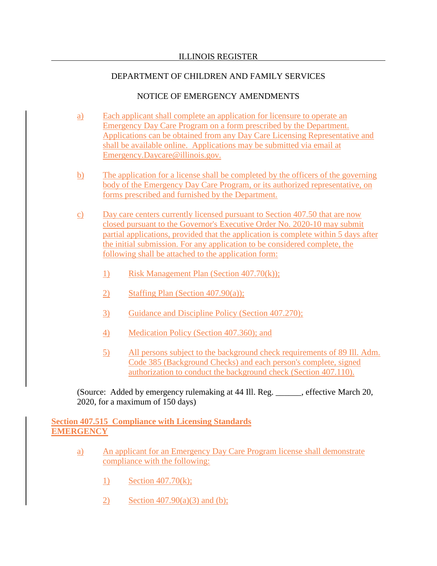## NOTICE OF EMERGENCY AMENDMENTS

- a) Each applicant shall complete an application for licensure to operate an Emergency Day Care Program on a form prescribed by the Department. Applications can be obtained from any Day Care Licensing Representative and shall be available online. Applications may be submitted via email at Emergency.Daycare@illinois.gov.
- b) The application for a license shall be completed by the officers of the governing body of the Emergency Day Care Program, or its authorized representative, on forms prescribed and furnished by the Department.
- c) Day care centers currently licensed pursuant to Section 407.50 that are now closed pursuant to the Governor's Executive Order No. 2020-10 may submit partial applications, provided that the application is complete within 5 days after the initial submission. For any application to be considered complete, the following shall be attached to the application form:
	- 1) Risk Management Plan (Section 407.70(k));
	- 2) Staffing Plan (Section 407.90(a));
	- 3) Guidance and Discipline Policy (Section 407.270);
	- 4) Medication Policy (Section 407.360); and
	- 5) All persons subject to the background check requirements of 89 Ill. Adm. Code 385 (Background Checks) and each person's complete, signed authorization to conduct the background check (Section 407.110).

(Source: Added by emergency rulemaking at 44 Ill. Reg. \_\_\_\_\_\_, effective March 20, 2020, for a maximum of 150 days)

#### **Section 407.515 Compliance with Licensing Standards EMERGENCY**

- a) An applicant for an Emergency Day Care Program license shall demonstrate compliance with the following:
	- 1) Section 407.70(k);
	- 2) Section  $407.90(a)(3)$  and (b);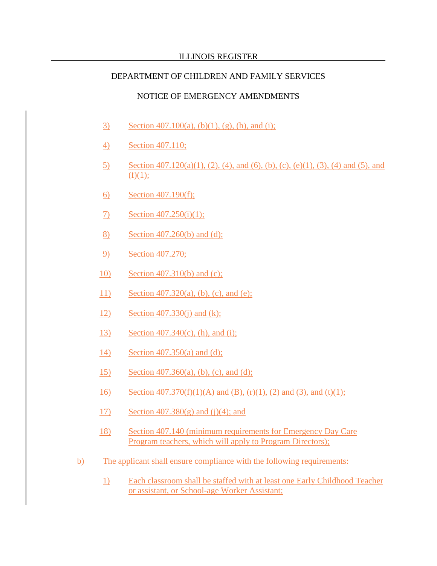## DEPARTMENT OF CHILDREN AND FAMILY SERVICES

#### NOTICE OF EMERGENCY AMENDMENTS

- 3) Section 407.100(a), (b)(1), (g), (h), and (i);
- 4) Section 407.110;
- 5) Section 407.120(a)(1), (2), (4), and (6), (b), (c), (e)(1), (3), (4) and (5), and  $(f)(1);$
- 6) Section 407.190(f);
- 7) Section 407.250(i)(1);
- 8) Section 407.260(b) and (d);
- 9) Section 407.270;
- 10) Section 407.310(b) and (c);
- 11) Section 407.320(a), (b), (c), and (e);
- 12) Section 407.330(j) and (k);
- 13) Section 407.340(c), (h), and (i);
- 14) Section 407.350(a) and (d);
- 15) Section 407.360(a), (b), (c), and (d);
- 16) Section 407.370(f)(1)(A) and (B), (r)(1), (2) and (3), and (t)(1);
- 17) Section 407.380(g) and (j)(4); and
- 18) Section 407.140 (minimum requirements for Emergency Day Care Program teachers, which will apply to Program Directors);
- b) The applicant shall ensure compliance with the following requirements:
	- 1) Each classroom shall be staffed with at least one Early Childhood Teacher or assistant, or School-age Worker Assistant;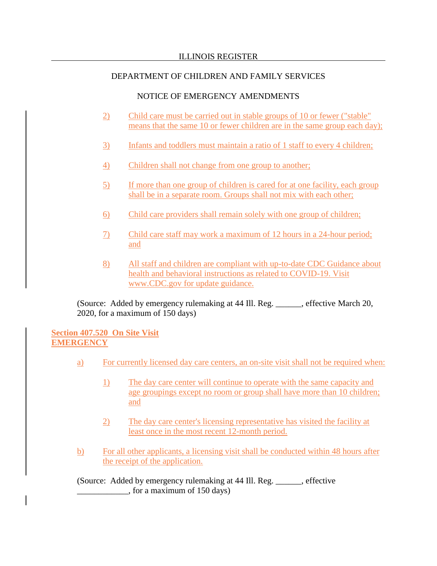## NOTICE OF EMERGENCY AMENDMENTS

- 2) Child care must be carried out in stable groups of 10 or fewer ("stable" means that the same 10 or fewer children are in the same group each day);
- 3) Infants and toddlers must maintain a ratio of 1 staff to every 4 children;
- 4) Children shall not change from one group to another;
- 5) If more than one group of children is cared for at one facility, each group shall be in a separate room. Groups shall not mix with each other;
- 6) Child care providers shall remain solely with one group of children;
- 7) Child care staff may work a maximum of 12 hours in a 24-hour period; and
- 8) All staff and children are compliant with up-to-date CDC Guidance about health and behavioral instructions as related to COVID-19. Visit www.CDC.gov for update guidance.

(Source: Added by emergency rulemaking at 44 Ill. Reg. \_\_\_\_\_\_, effective March 20, 2020, for a maximum of 150 days)

**Section 407.520 On Site Visit EMERGENCY**

- a) For currently licensed day care centers, an on-site visit shall not be required when:
	- 1) The day care center will continue to operate with the same capacity and age groupings except no room or group shall have more than 10 children; and
	- 2) The day care center's licensing representative has visited the facility at least once in the most recent 12-month period.
- b) For all other applicants, a licensing visit shall be conducted within 48 hours after the receipt of the application.

(Source: Added by emergency rulemaking at 44 Ill. Reg. \_\_\_\_\_\_, effective \_\_\_\_\_\_\_\_\_\_\_\_, for a maximum of 150 days)